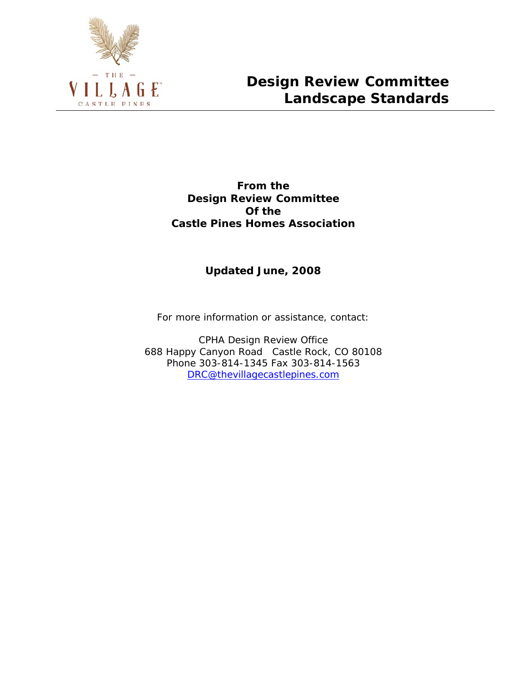

**From the Design Review Committee Of the Castle Pines Homes Association**

## **Updated June, 2008**

*For more information or assistance, contact:* 

CPHA Design Review Office 688 Happy Canyon Road Castle Rock, CO 80108 Phone 303-814-1345 Fax 303-814-1563 [DRC@thevillagecastlepines.com](mailto:DRC@thevillagecastlepines.com)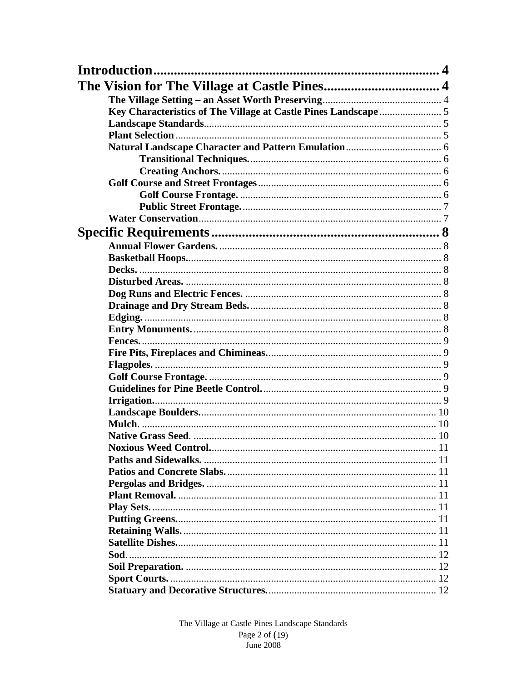| Introduction |  |
|--------------|--|
|              |  |
|              |  |
|              |  |
|              |  |
|              |  |
|              |  |
|              |  |
|              |  |
|              |  |
|              |  |
|              |  |
|              |  |
|              |  |
|              |  |
|              |  |
|              |  |
|              |  |
|              |  |
|              |  |
|              |  |
|              |  |
|              |  |
|              |  |
|              |  |
|              |  |
|              |  |
|              |  |
|              |  |
|              |  |
|              |  |
|              |  |
|              |  |
|              |  |
|              |  |
|              |  |
|              |  |
|              |  |
|              |  |
|              |  |
|              |  |
|              |  |
|              |  |
|              |  |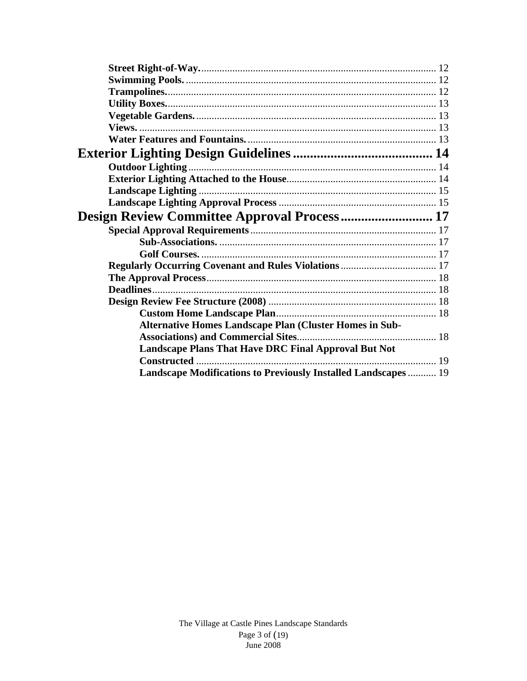| Design Review Committee Approval Process 17                    |  |
|----------------------------------------------------------------|--|
|                                                                |  |
|                                                                |  |
|                                                                |  |
|                                                                |  |
|                                                                |  |
|                                                                |  |
|                                                                |  |
|                                                                |  |
| Alternative Homes Landscape Plan (Cluster Homes in Sub-        |  |
|                                                                |  |
| <b>Landscape Plans That Have DRC Final Approval But Not</b>    |  |
|                                                                |  |
| Landscape Modifications to Previously Installed Landscapes  19 |  |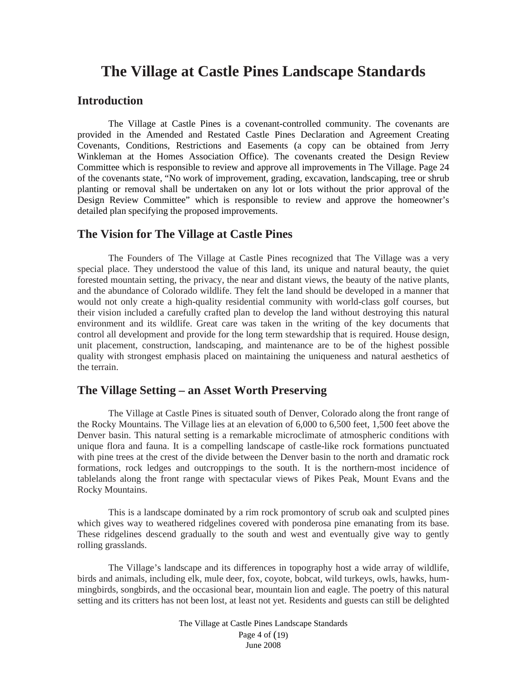# **The Village at Castle Pines Landscape Standards**

## <span id="page-3-0"></span>**Introduction**

The Village at Castle Pines is a covenant-controlled community. The covenants are provided in the Amended and Restated Castle Pines Declaration and Agreement Creating Covenants, Conditions, Restrictions and Easements (a copy can be obtained from Jerry Winkleman at the Homes Association Office). The covenants created the Design Review Committee which is responsible to review and approve all improvements in The Village. Page 24 of the covenants state, "No work of improvement, grading, excavation, landscaping, tree or shrub planting or removal shall be undertaken on any lot or lots without the prior approval of the Design Review Committee" which is responsible to review and approve the homeowner's detailed plan specifying the proposed improvements.

## <span id="page-3-1"></span>**The Vision for The Village at Castle Pines**

The Founders of The Village at Castle Pines recognized that The Village was a very special place. They understood the value of this land, its unique and natural beauty, the quiet forested mountain setting, the privacy, the near and distant views, the beauty of the native plants, and the abundance of Colorado wildlife. They felt the land should be developed in a manner that would not only create a high-quality residential community with world-class golf courses, but their vision included a carefully crafted plan to develop the land without destroying this natural environment and its wildlife. Great care was taken in the writing of the key documents that control all development and provide for the long term stewardship that is required. House design, unit placement, construction, landscaping, and maintenance are to be of the highest possible quality with strongest emphasis placed on maintaining the uniqueness and natural aesthetics of the terrain.

## <span id="page-3-2"></span>**The Village Setting – an Asset Worth Preserving**

The Village at Castle Pines is situated south of Denver, Colorado along the front range of the Rocky Mountains. The Village lies at an elevation of 6,000 to 6,500 feet, 1,500 feet above the Denver basin. This natural setting is a remarkable microclimate of atmospheric conditions with unique flora and fauna. It is a compelling landscape of castle-like rock formations punctuated with pine trees at the crest of the divide between the Denver basin to the north and dramatic rock formations, rock ledges and outcroppings to the south. It is the northern-most incidence of tablelands along the front range with spectacular views of Pikes Peak, Mount Evans and the Rocky Mountains.

This is a landscape dominated by a rim rock promontory of scrub oak and sculpted pines which gives way to weathered ridgelines covered with ponderosa pine emanating from its base. These ridgelines descend gradually to the south and west and eventually give way to gently rolling grasslands.

The Village's landscape and its differences in topography host a wide array of wildlife, birds and animals, including elk, mule deer, fox, coyote, bobcat, wild turkeys, owls, hawks, hummingbirds, songbirds, and the occasional bear, mountain lion and eagle. The poetry of this natural setting and its critters has not been lost, at least not yet. Residents and guests can still be delighted

> The Village at Castle Pines Landscape Standards Page 4 of (19) June 2008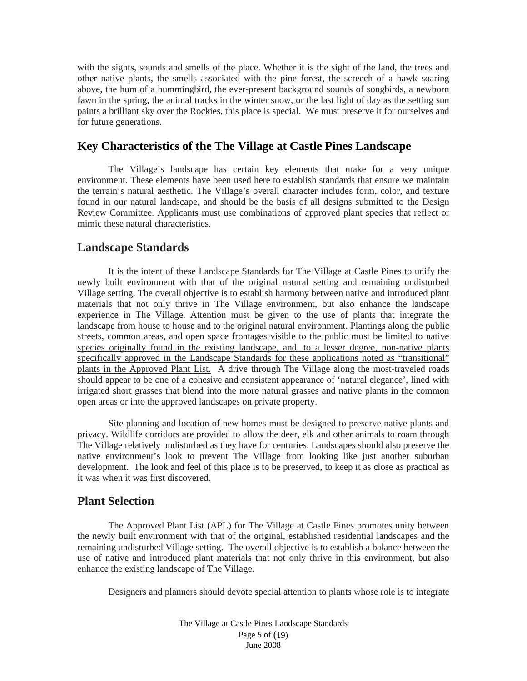with the sights, sounds and smells of the place. Whether it is the sight of the land, the trees and other native plants, the smells associated with the pine forest, the screech of a hawk soaring above, the hum of a hummingbird, the ever-present background sounds of songbirds, a newborn fawn in the spring, the animal tracks in the winter snow, or the last light of day as the setting sun paints a brilliant sky over the Rockies, this place is special. We must preserve it for ourselves and for future generations.

## <span id="page-4-0"></span>**Key Characteristics of the The Village at Castle Pines Landscape**

The Village's landscape has certain key elements that make for a very unique environment. These elements have been used here to establish standards that ensure we maintain the terrain's natural aesthetic. The Village's overall character includes form, color, and texture found in our natural landscape, and should be the basis of all designs submitted to the Design Review Committee. Applicants must use combinations of approved plant species that reflect or mimic these natural characteristics.

## <span id="page-4-1"></span>**Landscape Standards**

It is the intent of these Landscape Standards for The Village at Castle Pines to unify the newly built environment with that of the original natural setting and remaining undisturbed Village setting. The overall objective is to establish harmony between native and introduced plant materials that not only thrive in The Village environment, but also enhance the landscape experience in The Village. Attention must be given to the use of plants that integrate the landscape from house to house and to the original natural environment. Plantings along the public streets, common areas, and open space frontages visible to the public must be limited to native species originally found in the existing landscape, and, to a lesser degree, non-native plants specifically approved in the Landscape Standards for these applications noted as "transitional" plants in the Approved Plant List. A drive through The Village along the most-traveled roads should appear to be one of a cohesive and consistent appearance of 'natural elegance', lined with irrigated short grasses that blend into the more natural grasses and native plants in the common open areas or into the approved landscapes on private property.

Site planning and location of new homes must be designed to preserve native plants and privacy. Wildlife corridors are provided to allow the deer, elk and other animals to roam through The Village relatively undisturbed as they have for centuries. Landscapes should also preserve the native environment's look to prevent The Village from looking like just another suburban development. The look and feel of this place is to be preserved, to keep it as close as practical as it was when it was first discovered.

## <span id="page-4-2"></span>**Plant Selection**

The Approved Plant List (APL) for The Village at Castle Pines promotes unity between the newly built environment with that of the original, established residential landscapes and the remaining undisturbed Village setting. The overall objective is to establish a balance between the use of native and introduced plant materials that not only thrive in this environment, but also enhance the existing landscape of The Village.

Designers and planners should devote special attention to plants whose role is to integrate

The Village at Castle Pines Landscape Standards Page 5 of (19) June 2008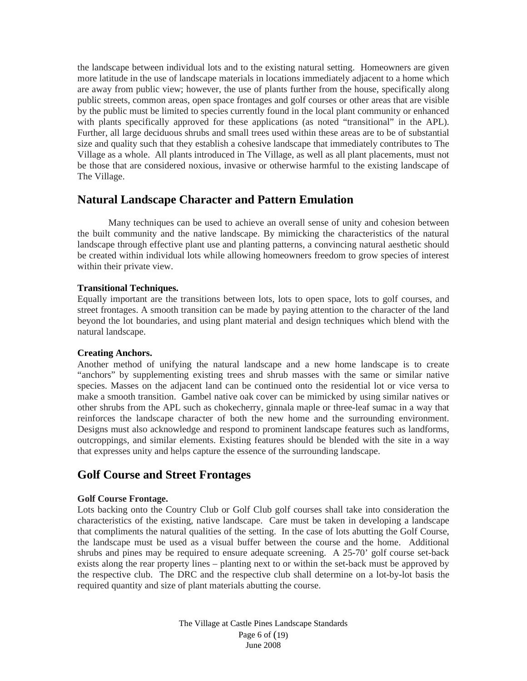the landscape between individual lots and to the existing natural setting. Homeowners are given more latitude in the use of landscape materials in locations immediately adjacent to a home which are away from public view; however, the use of plants further from the house, specifically along public streets, common areas, open space frontages and golf courses or other areas that are visible by the public must be limited to species currently found in the local plant community or enhanced with plants specifically approved for these applications (as noted "transitional" in the APL). Further, all large deciduous shrubs and small trees used within these areas are to be of substantial size and quality such that they establish a cohesive landscape that immediately contributes to The Village as a whole. All plants introduced in The Village, as well as all plant placements, must not be those that are considered noxious, invasive or otherwise harmful to the existing landscape of The Village.

## <span id="page-5-0"></span>**Natural Landscape Character and Pattern Emulation**

Many techniques can be used to achieve an overall sense of unity and cohesion between the built community and the native landscape. By mimicking the characteristics of the natural landscape through effective plant use and planting patterns, a convincing natural aesthetic should be created within individual lots while allowing homeowners freedom to grow species of interest within their private view.

#### <span id="page-5-1"></span>**Transitional Techniques.**

Equally important are the transitions between lots, lots to open space, lots to golf courses, and street frontages. A smooth transition can be made by paying attention to the character of the land beyond the lot boundaries, and using plant material and design techniques which blend with the natural landscape.

#### <span id="page-5-2"></span>**Creating Anchors.**

Another method of unifying the natural landscape and a new home landscape is to create "anchors" by supplementing existing trees and shrub masses with the same or similar native species. Masses on the adjacent land can be continued onto the residential lot or vice versa to make a smooth transition. Gambel native oak cover can be mimicked by using similar natives or other shrubs from the APL such as chokecherry, ginnala maple or three-leaf sumac in a way that reinforces the landscape character of both the new home and the surrounding environment. Designs must also acknowledge and respond to prominent landscape features such as landforms, outcroppings, and similar elements. Existing features should be blended with the site in a way that expresses unity and helps capture the essence of the surrounding landscape.

## <span id="page-5-3"></span>**Golf Course and Street Frontages**

#### <span id="page-5-4"></span>**Golf Course Frontage.**

Lots backing onto the Country Club or Golf Club golf courses shall take into consideration the characteristics of the existing, native landscape. Care must be taken in developing a landscape that compliments the natural qualities of the setting. In the case of lots abutting the Golf Course, the landscape must be used as a visual buffer between the course and the home. Additional shrubs and pines may be required to ensure adequate screening. A 25-70' golf course set-back exists along the rear property lines – planting next to or within the set-back must be approved by the respective club. The DRC and the respective club shall determine on a lot-by-lot basis the required quantity and size of plant materials abutting the course.

> The Village at Castle Pines Landscape Standards Page 6 of (19) June 2008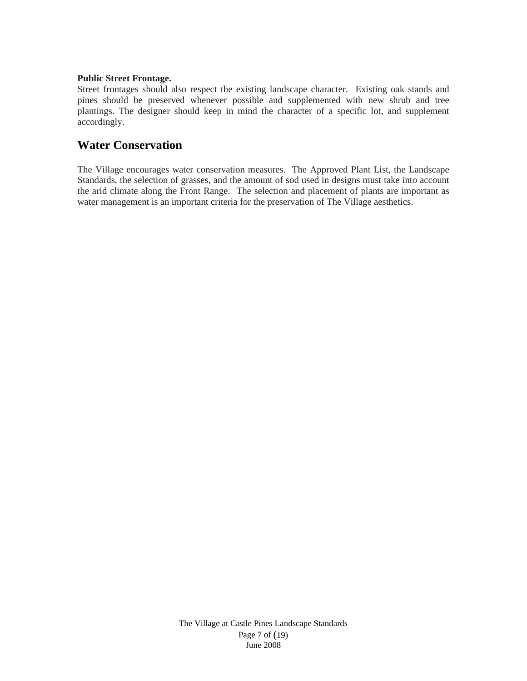### <span id="page-6-0"></span>**Public Street Frontage.**

Street frontages should also respect the existing landscape character. Existing oak stands and pines should be preserved whenever possible and supplemented with new shrub and tree plantings. The designer should keep in mind the character of a specific lot, and supplement accordingly.

## <span id="page-6-1"></span>**Water Conservation**

The Village encourages water conservation measures. The Approved Plant List, the Landscape Standards, the selection of grasses, and the amount of sod used in designs must take into account the arid climate along the Front Range. The selection and placement of plants are important as water management is an important criteria for the preservation of The Village aesthetics.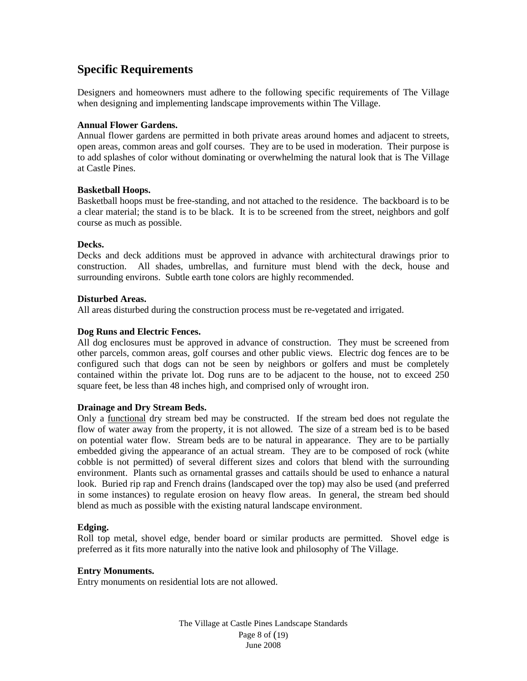## <span id="page-7-0"></span>**Specific Requirements**

Designers and homeowners must adhere to the following specific requirements of The Village when designing and implementing landscape improvements within The Village.

## <span id="page-7-1"></span>**Annual Flower Gardens.**

Annual flower gardens are permitted in both private areas around homes and adjacent to streets, open areas, common areas and golf courses. They are to be used in moderation. Their purpose is to add splashes of color without dominating or overwhelming the natural look that is The Village at Castle Pines.

#### <span id="page-7-2"></span>**Basketball Hoops.**

Basketball hoops must be free-standing, and not attached to the residence. The backboard is to be a clear material; the stand is to be black. It is to be screened from the street, neighbors and golf course as much as possible.

#### <span id="page-7-3"></span>**Decks.**

Decks and deck additions must be approved in advance with architectural drawings prior to construction. All shades, umbrellas, and furniture must blend with the deck, house and surrounding environs. Subtle earth tone colors are highly recommended.

### <span id="page-7-4"></span>**Disturbed Areas.**

All areas disturbed during the construction process must be re-vegetated and irrigated.

#### <span id="page-7-5"></span>**Dog Runs and Electric Fences.**

All dog enclosures must be approved in advance of construction. They must be screened from other parcels, common areas, golf courses and other public views. Electric dog fences are to be configured such that dogs can not be seen by neighbors or golfers and must be completely contained within the private lot. Dog runs are to be adjacent to the house, not to exceed 250 square feet, be less than 48 inches high, and comprised only of wrought iron.

#### <span id="page-7-6"></span>**Drainage and Dry Stream Beds.**

Only a functional dry stream bed may be constructed. If the stream bed does not regulate the flow of water away from the property, it is not allowed. The size of a stream bed is to be based on potential water flow. Stream beds are to be natural in appearance. They are to be partially embedded giving the appearance of an actual stream. They are to be composed of rock (white cobble is not permitted) of several different sizes and colors that blend with the surrounding environment. Plants such as ornamental grasses and cattails should be used to enhance a natural look. Buried rip rap and French drains (landscaped over the top) may also be used (and preferred in some instances) to regulate erosion on heavy flow areas. In general, the stream bed should blend as much as possible with the existing natural landscape environment.

#### <span id="page-7-7"></span>**Edging.**

Roll top metal, shovel edge, bender board or similar products are permitted. Shovel edge is preferred as it fits more naturally into the native look and philosophy of The Village.

#### <span id="page-7-8"></span>**Entry Monuments.**

Entry monuments on residential lots are not allowed.

The Village at Castle Pines Landscape Standards Page 8 of (19) June 2008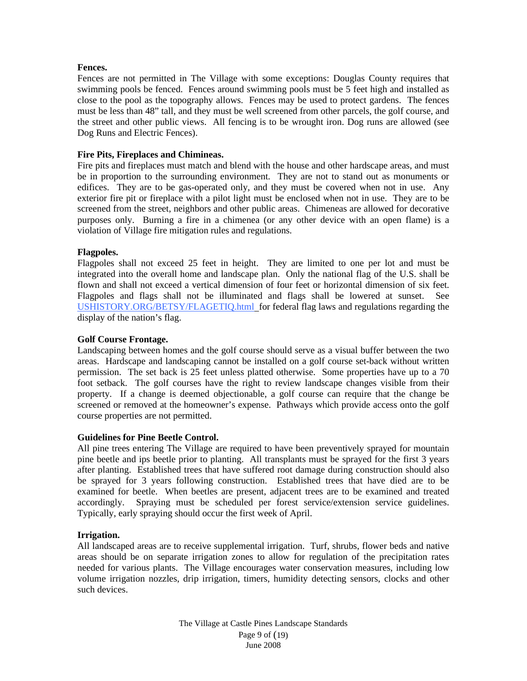#### <span id="page-8-0"></span>**Fences.**

Fences are not permitted in The Village with some exceptions: Douglas County requires that swimming pools be fenced. Fences around swimming pools must be 5 feet high and installed as close to the pool as the topography allows. Fences may be used to protect gardens. The fences must be less than 48" tall, and they must be well screened from other parcels, the golf course, and the street and other public views. All fencing is to be wrought iron. Dog runs are allowed (see Dog Runs and Electric Fences).

## <span id="page-8-1"></span>**Fire Pits, Fireplaces and Chimineas.**

Fire pits and fireplaces must match and blend with the house and other hardscape areas, and must be in proportion to the surrounding environment. They are not to stand out as monuments or edifices. They are to be gas-operated only, and they must be covered when not in use. Any exterior fire pit or fireplace with a pilot light must be enclosed when not in use. They are to be screened from the street, neighbors and other public areas. Chimeneas are allowed for decorative purposes only. Burning a fire in a chimenea (or any other device with an open flame) is a violation of Village fire mitigation rules and regulations.

## <span id="page-8-2"></span>**Flagpoles.**

Flagpoles shall not exceed 25 feet in height. They are limited to one per lot and must be integrated into the overall home and landscape plan. Only the national flag of the U.S. shall be flown and shall not exceed a vertical dimension of four feet or horizontal dimension of six feet. Flagpoles and flags shall not be illuminated and flags shall be lowered at sunset. See USHISTORY.ORG/BETSY/FLAGETIQ.html for federal flag laws and regulations regarding the display of the nation's flag.

## <span id="page-8-3"></span>**Golf Course Frontage.**

Landscaping between homes and the golf course should serve as a visual buffer between the two areas. Hardscape and landscaping cannot be installed on a golf course set-back without written permission. The set back is 25 feet unless platted otherwise. Some properties have up to a 70 foot setback. The golf courses have the right to review landscape changes visible from their property. If a change is deemed objectionable, a golf course can require that the change be screened or removed at the homeowner's expense. Pathways which provide access onto the golf course properties are not permitted.

## <span id="page-8-4"></span>**Guidelines for Pine Beetle Control.**

All pine trees entering The Village are required to have been preventively sprayed for mountain pine beetle and ips beetle prior to planting. All transplants must be sprayed for the first 3 years after planting. Established trees that have suffered root damage during construction should also be sprayed for 3 years following construction. Established trees that have died are to be examined for beetle. When beetles are present, adjacent trees are to be examined and treated accordingly. Spraying must be scheduled per forest service/extension service guidelines. Typically, early spraying should occur the first week of April.

## <span id="page-8-5"></span>**Irrigation.**

All landscaped areas are to receive supplemental irrigation. Turf, shrubs, flower beds and native areas should be on separate irrigation zones to allow for regulation of the precipitation rates needed for various plants. The Village encourages water conservation measures, including low volume irrigation nozzles, drip irrigation, timers, humidity detecting sensors, clocks and other such devices.

> The Village at Castle Pines Landscape Standards Page 9 of (19) June 2008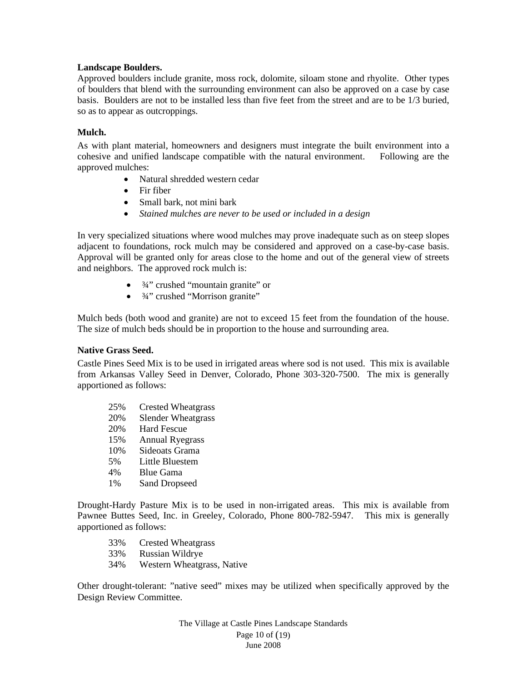#### <span id="page-9-0"></span>**Landscape Boulders.**

Approved boulders include granite, moss rock, dolomite, siloam stone and rhyolite. Other types of boulders that blend with the surrounding environment can also be approved on a case by case basis. Boulders are not to be installed less than five feet from the street and are to be 1/3 buried, so as to appear as outcroppings.

### <span id="page-9-1"></span>**Mulch.**

As with plant material, homeowners and designers must integrate the built environment into a cohesive and unified landscape compatible with the natural environment. Following are the approved mulches:

- Natural shredded western cedar
- Fir fiber
- Small bark, not mini bark
- *Stained mulches are never to be used or included in a design*

In very specialized situations where wood mulches may prove inadequate such as on steep slopes adjacent to foundations, rock mulch may be considered and approved on a case-by-case basis. Approval will be granted only for areas close to the home and out of the general view of streets and neighbors. The approved rock mulch is:

- $\bullet$   $\frac{3}{4}$ " crushed "mountain granite" or
- <sup>3</sup>⁄4" crushed "Morrison granite"

Mulch beds (both wood and granite) are not to exceed 15 feet from the foundation of the house. The size of mulch beds should be in proportion to the house and surrounding area.

## <span id="page-9-2"></span>**Native Grass Seed.**

Castle Pines Seed Mix is to be used in irrigated areas where sod is not used. This mix is available from Arkansas Valley Seed in Denver, Colorado, Phone 303-320-7500. The mix is generally apportioned as follows:

25% Crested Wheatgrass 20% Slender Wheatgrass 20% Hard Fescue 15% Annual Ryegrass 10% Sideoats Grama 5% Little Bluestem 4% Blue Gama 1% Sand Dropseed

Drought-Hardy Pasture Mix is to be used in non-irrigated areas. This mix is available from Pawnee Buttes Seed, Inc. in Greeley, Colorado, Phone 800-782-5947. This mix is generally apportioned as follows:

- 33% Crested Wheatgrass
- 33% Russian Wildrye
- 34% Western Wheatgrass, Native

Other drought-tolerant: "native seed" mixes may be utilized when specifically approved by the Design Review Committee.

> The Village at Castle Pines Landscape Standards Page 10 of (19) June 2008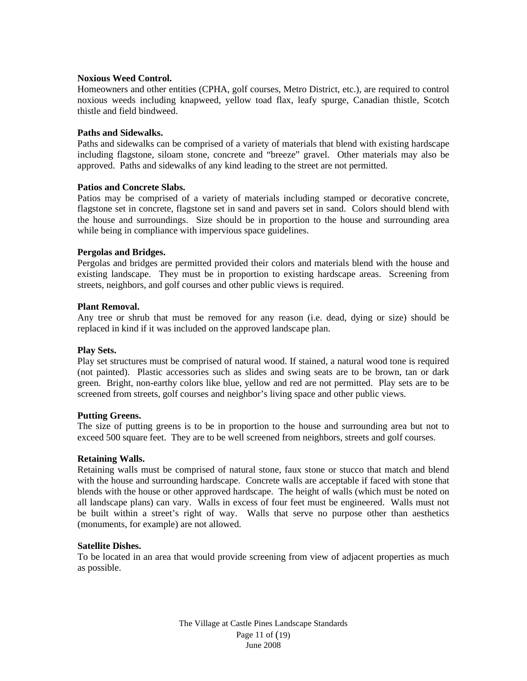#### <span id="page-10-0"></span>**Noxious Weed Control.**

Homeowners and other entities (CPHA, golf courses, Metro District, etc.), are required to control noxious weeds including knapweed, yellow toad flax, leafy spurge, Canadian thistle, Scotch thistle and field bindweed.

#### <span id="page-10-1"></span>**Paths and Sidewalks.**

Paths and sidewalks can be comprised of a variety of materials that blend with existing hardscape including flagstone, siloam stone, concrete and "breeze" gravel. Other materials may also be approved. Paths and sidewalks of any kind leading to the street are not permitted.

#### <span id="page-10-2"></span>**Patios and Concrete Slabs.**

Patios may be comprised of a variety of materials including stamped or decorative concrete, flagstone set in concrete, flagstone set in sand and pavers set in sand. Colors should blend with the house and surroundings. Size should be in proportion to the house and surrounding area while being in compliance with impervious space guidelines.

#### <span id="page-10-3"></span>**Pergolas and Bridges.**

Pergolas and bridges are permitted provided their colors and materials blend with the house and existing landscape. They must be in proportion to existing hardscape areas. Screening from streets, neighbors, and golf courses and other public views is required.

#### <span id="page-10-4"></span>**Plant Removal.**

Any tree or shrub that must be removed for any reason (i.e. dead, dying or size) should be replaced in kind if it was included on the approved landscape plan.

#### <span id="page-10-5"></span>**Play Sets.**

Play set structures must be comprised of natural wood. If stained, a natural wood tone is required (not painted). Plastic accessories such as slides and swing seats are to be brown, tan or dark green. Bright, non-earthy colors like blue, yellow and red are not permitted. Play sets are to be screened from streets, golf courses and neighbor's living space and other public views.

#### <span id="page-10-6"></span>**Putting Greens.**

The size of putting greens is to be in proportion to the house and surrounding area but not to exceed 500 square feet. They are to be well screened from neighbors, streets and golf courses.

#### <span id="page-10-7"></span>**Retaining Walls.**

Retaining walls must be comprised of natural stone, faux stone or stucco that match and blend with the house and surrounding hardscape. Concrete walls are acceptable if faced with stone that blends with the house or other approved hardscape. The height of walls (which must be noted on all landscape plans) can vary. Walls in excess of four feet must be engineered. Walls must not be built within a street's right of way. Walls that serve no purpose other than aesthetics (monuments, for example) are not allowed.

#### <span id="page-10-8"></span>**Satellite Dishes.**

To be located in an area that would provide screening from view of adjacent properties as much as possible.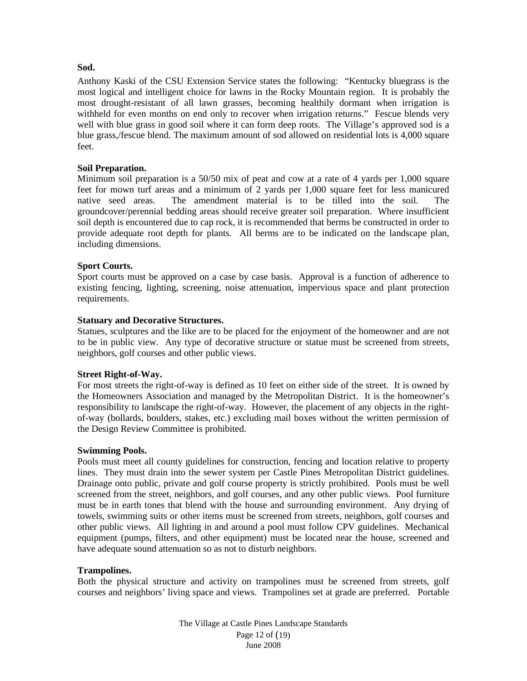#### <span id="page-11-0"></span>**Sod.**

Anthony Kaski of the CSU Extension Service states the following: "Kentucky bluegrass is the most logical and intelligent choice for lawns in the Rocky Mountain region. It is probably the most drought-resistant of all lawn grasses, becoming healthily dormant when irrigation is withheld for even months on end only to recover when irrigation returns." Fescue blends very well with blue grass in good soil where it can form deep roots. The Village's approved sod is a blue grass,/fescue blend. The maximum amount of sod allowed on residential lots is 4,000 square feet.

## <span id="page-11-1"></span>**Soil Preparation.**

Minimum soil preparation is a 50/50 mix of peat and cow at a rate of 4 yards per 1,000 square feet for mown turf areas and a minimum of 2 yards per 1,000 square feet for less manicured native seed areas. The amendment material is to be tilled into the soil. The groundcover/perennial bedding areas should receive greater soil preparation. Where insufficient soil depth is encountered due to cap rock, it is recommended that berms be constructed in order to provide adequate root depth for plants. All berms are to be indicated on the landscape plan, including dimensions.

## <span id="page-11-2"></span>**Sport Courts.**

Sport courts must be approved on a case by case basis. Approval is a function of adherence to existing fencing, lighting, screening, noise attenuation, impervious space and plant protection requirements.

#### <span id="page-11-3"></span>**Statuary and Decorative Structures.**

Statues, sculptures and the like are to be placed for the enjoyment of the homeowner and are not to be in public view. Any type of decorative structure or statue must be screened from streets, neighbors, golf courses and other public views.

#### <span id="page-11-4"></span>**Street Right-of-Way.**

For most streets the right-of-way is defined as 10 feet on either side of the street. It is owned by the Homeowners Association and managed by the Metropolitan District. It is the homeowner's responsibility to landscape the right-of-way. However, the placement of any objects in the rightof-way (bollards, boulders, stakes, etc.) excluding mail boxes without the written permission of the Design Review Committee is prohibited.

#### <span id="page-11-5"></span>**Swimming Pools.**

Pools must meet all county guidelines for construction, fencing and location relative to property lines. They must drain into the sewer system per Castle Pines Metropolitan District guidelines. Drainage onto public, private and golf course property is strictly prohibited. Pools must be well screened from the street, neighbors, and golf courses, and any other public views. Pool furniture must be in earth tones that blend with the house and surrounding environment. Any drying of towels, swimming suits or other items must be screened from streets, neighbors, golf courses and other public views. All lighting in and around a pool must follow CPV guidelines. Mechanical equipment (pumps, filters, and other equipment) must be located near the house, screened and have adequate sound attenuation so as not to disturb neighbors.

## <span id="page-11-6"></span>**Trampolines.**

Both the physical structure and activity on trampolines must be screened from streets, golf courses and neighbors' living space and views. Trampolines set at grade are preferred. Portable

> The Village at Castle Pines Landscape Standards Page 12 of (19) June 2008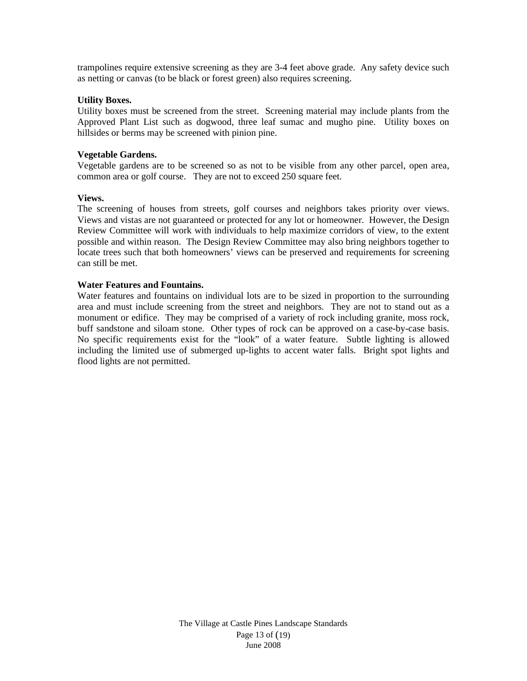trampolines require extensive screening as they are 3-4 feet above grade. Any safety device such as netting or canvas (to be black or forest green) also requires screening.

#### <span id="page-12-0"></span>**Utility Boxes.**

Utility boxes must be screened from the street. Screening material may include plants from the Approved Plant List such as dogwood, three leaf sumac and mugho pine. Utility boxes on hillsides or berms may be screened with pinion pine.

### <span id="page-12-1"></span>**Vegetable Gardens.**

Vegetable gardens are to be screened so as not to be visible from any other parcel, open area, common area or golf course. They are not to exceed 250 square feet.

#### <span id="page-12-2"></span>**Views.**

The screening of houses from streets, golf courses and neighbors takes priority over views. Views and vistas are not guaranteed or protected for any lot or homeowner. However, the Design Review Committee will work with individuals to help maximize corridors of view, to the extent possible and within reason. The Design Review Committee may also bring neighbors together to locate trees such that both homeowners' views can be preserved and requirements for screening can still be met.

#### <span id="page-12-3"></span>**Water Features and Fountains.**

Water features and fountains on individual lots are to be sized in proportion to the surrounding area and must include screening from the street and neighbors. They are not to stand out as a monument or edifice. They may be comprised of a variety of rock including granite, moss rock, buff sandstone and siloam stone. Other types of rock can be approved on a case-by-case basis. No specific requirements exist for the "look" of a water feature. Subtle lighting is allowed including the limited use of submerged up-lights to accent water falls. Bright spot lights and flood lights are not permitted.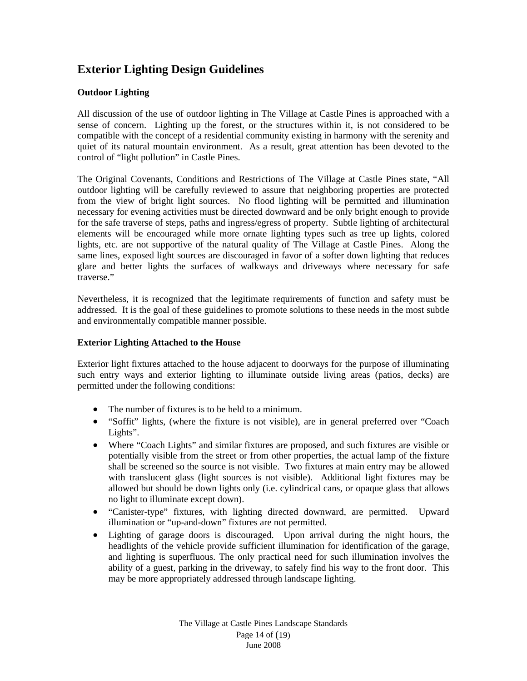## <span id="page-13-0"></span>**Exterior Lighting Design Guidelines**

## <span id="page-13-1"></span>**Outdoor Lighting**

All discussion of the use of outdoor lighting in The Village at Castle Pines is approached with a sense of concern. Lighting up the forest, or the structures within it, is not considered to be compatible with the concept of a residential community existing in harmony with the serenity and quiet of its natural mountain environment. As a result, great attention has been devoted to the control of "light pollution" in Castle Pines.

The Original Covenants, Conditions and Restrictions of The Village at Castle Pines state, "All outdoor lighting will be carefully reviewed to assure that neighboring properties are protected from the view of bright light sources. No flood lighting will be permitted and illumination necessary for evening activities must be directed downward and be only bright enough to provide for the safe traverse of steps, paths and ingress/egress of property. Subtle lighting of architectural elements will be encouraged while more ornate lighting types such as tree up lights, colored lights, etc. are not supportive of the natural quality of The Village at Castle Pines. Along the same lines, exposed light sources are discouraged in favor of a softer down lighting that reduces glare and better lights the surfaces of walkways and driveways where necessary for safe traverse."

Nevertheless, it is recognized that the legitimate requirements of function and safety must be addressed. It is the goal of these guidelines to promote solutions to these needs in the most subtle and environmentally compatible manner possible.

## <span id="page-13-2"></span>**Exterior Lighting Attached to the House**

Exterior light fixtures attached to the house adjacent to doorways for the purpose of illuminating such entry ways and exterior lighting to illuminate outside living areas (patios, decks) are permitted under the following conditions:

- The number of fixtures is to be held to a minimum.
- "Soffit" lights, (where the fixture is not visible), are in general preferred over "Coach Lights".
- Where "Coach Lights" and similar fixtures are proposed, and such fixtures are visible or potentially visible from the street or from other properties, the actual lamp of the fixture shall be screened so the source is not visible. Two fixtures at main entry may be allowed with translucent glass (light sources is not visible). Additional light fixtures may be allowed but should be down lights only (i.e. cylindrical cans, or opaque glass that allows no light to illuminate except down).
- "Canister-type" fixtures, with lighting directed downward, are permitted. Upward illumination or "up-and-down" fixtures are not permitted.
- Lighting of garage doors is discouraged. Upon arrival during the night hours, the headlights of the vehicle provide sufficient illumination for identification of the garage, and lighting is superfluous. The only practical need for such illumination involves the ability of a guest, parking in the driveway, to safely find his way to the front door. This may be more appropriately addressed through landscape lighting.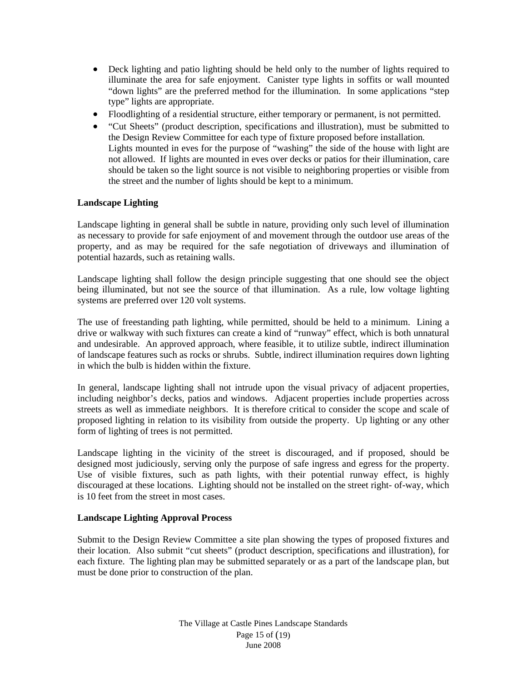- Deck lighting and patio lighting should be held only to the number of lights required to illuminate the area for safe enjoyment. Canister type lights in soffits or wall mounted "down lights" are the preferred method for the illumination. In some applications "step type" lights are appropriate.
- Floodlighting of a residential structure, either temporary or permanent, is not permitted.
- "Cut Sheets" (product description, specifications and illustration), must be submitted to the Design Review Committee for each type of fixture proposed before installation. Lights mounted in eves for the purpose of "washing" the side of the house with light are not allowed. If lights are mounted in eves over decks or patios for their illumination, care should be taken so the light source is not visible to neighboring properties or visible from the street and the number of lights should be kept to a minimum.

## <span id="page-14-0"></span>**Landscape Lighting**

Landscape lighting in general shall be subtle in nature, providing only such level of illumination as necessary to provide for safe enjoyment of and movement through the outdoor use areas of the property, and as may be required for the safe negotiation of driveways and illumination of potential hazards, such as retaining walls.

Landscape lighting shall follow the design principle suggesting that one should see the object being illuminated, but not see the source of that illumination. As a rule, low voltage lighting systems are preferred over 120 volt systems.

The use of freestanding path lighting, while permitted, should be held to a minimum. Lining a drive or walkway with such fixtures can create a kind of "runway" effect, which is both unnatural and undesirable. An approved approach, where feasible, it to utilize subtle, indirect illumination of landscape features such as rocks or shrubs. Subtle, indirect illumination requires down lighting in which the bulb is hidden within the fixture.

In general, landscape lighting shall not intrude upon the visual privacy of adjacent properties, including neighbor's decks, patios and windows. Adjacent properties include properties across streets as well as immediate neighbors. It is therefore critical to consider the scope and scale of proposed lighting in relation to its visibility from outside the property. Up lighting or any other form of lighting of trees is not permitted.

Landscape lighting in the vicinity of the street is discouraged, and if proposed, should be designed most judiciously, serving only the purpose of safe ingress and egress for the property. Use of visible fixtures, such as path lights, with their potential runway effect, is highly discouraged at these locations. Lighting should not be installed on the street right- of-way, which is 10 feet from the street in most cases.

## <span id="page-14-1"></span>**Landscape Lighting Approval Process**

Submit to the Design Review Committee a site plan showing the types of proposed fixtures and their location. Also submit "cut sheets" (product description, specifications and illustration), for each fixture. The lighting plan may be submitted separately or as a part of the landscape plan, but must be done prior to construction of the plan.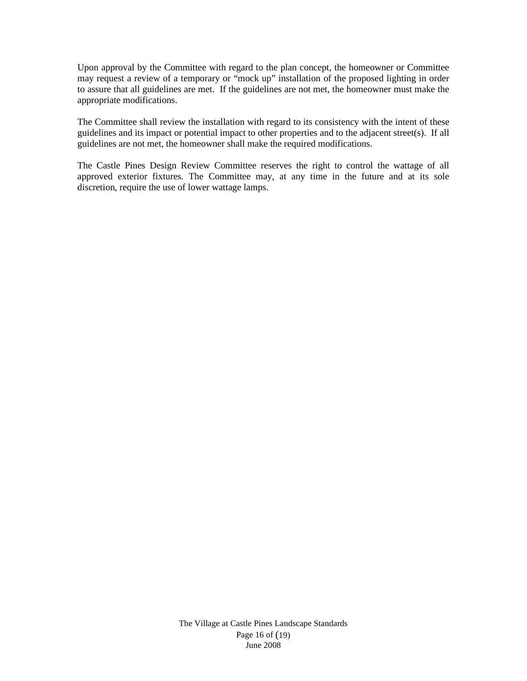Upon approval by the Committee with regard to the plan concept, the homeowner or Committee may request a review of a temporary or "mock up" installation of the proposed lighting in order to assure that all guidelines are met. If the guidelines are not met, the homeowner must make the appropriate modifications.

The Committee shall review the installation with regard to its consistency with the intent of these guidelines and its impact or potential impact to other properties and to the adjacent street(s). If all guidelines are not met, the homeowner shall make the required modifications.

The Castle Pines Design Review Committee reserves the right to control the wattage of all approved exterior fixtures. The Committee may, at any time in the future and at its sole discretion, require the use of lower wattage lamps.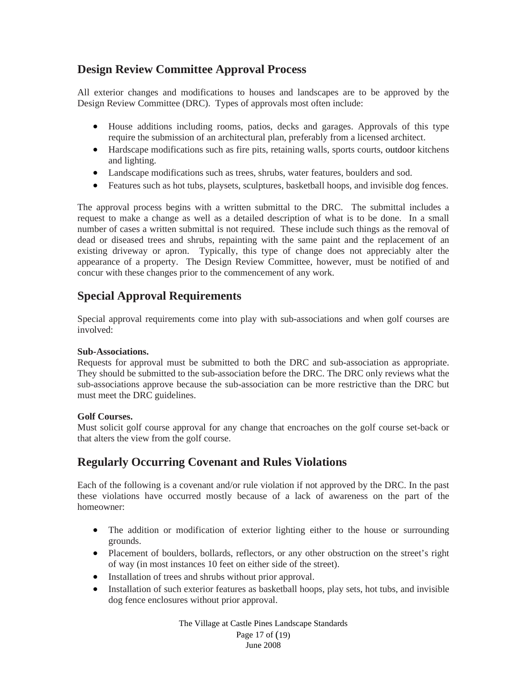## <span id="page-16-0"></span>**Design Review Committee Approval Process**

All exterior changes and modifications to houses and landscapes are to be approved by the Design Review Committee (DRC). Types of approvals most often include:

- House additions including rooms, patios, decks and garages. Approvals of this type require the submission of an architectural plan, preferably from a licensed architect.
- Hardscape modifications such as fire pits, retaining walls, sports courts, outdoor kitchens and lighting.
- Landscape modifications such as trees, shrubs, water features, boulders and sod.
- Features such as hot tubs, playsets, sculptures, basketball hoops, and invisible dog fences.

The approval process begins with a written submittal to the DRC. The submittal includes a request to make a change as well as a detailed description of what is to be done. In a small number of cases a written submittal is not required. These include such things as the removal of dead or diseased trees and shrubs, repainting with the same paint and the replacement of an existing driveway or apron. Typically, this type of change does not appreciably alter the appearance of a property. The Design Review Committee, however, must be notified of and concur with these changes prior to the commencement of any work.

## <span id="page-16-1"></span>**Special Approval Requirements**

Special approval requirements come into play with sub-associations and when golf courses are involved:

## <span id="page-16-2"></span>**Sub-Associations.**

Requests for approval must be submitted to both the DRC and sub-association as appropriate. They should be submitted to the sub-association before the DRC. The DRC only reviews what the sub-associations approve because the sub-association can be more restrictive than the DRC but must meet the DRC guidelines.

## <span id="page-16-3"></span>**Golf Courses.**

Must solicit golf course approval for any change that encroaches on the golf course set-back or that alters the view from the golf course.

## <span id="page-16-4"></span>**Regularly Occurring Covenant and Rules Violations**

Each of the following is a covenant and/or rule violation if not approved by the DRC. In the past these violations have occurred mostly because of a lack of awareness on the part of the homeowner:

- The addition or modification of exterior lighting either to the house or surrounding grounds.
- Placement of boulders, bollards, reflectors, or any other obstruction on the street's right of way (in most instances 10 feet on either side of the street).
- Installation of trees and shrubs without prior approval.
- Installation of such exterior features as basketball hoops, play sets, hot tubs, and invisible dog fence enclosures without prior approval.

The Village at Castle Pines Landscape Standards Page 17 of (19) June 2008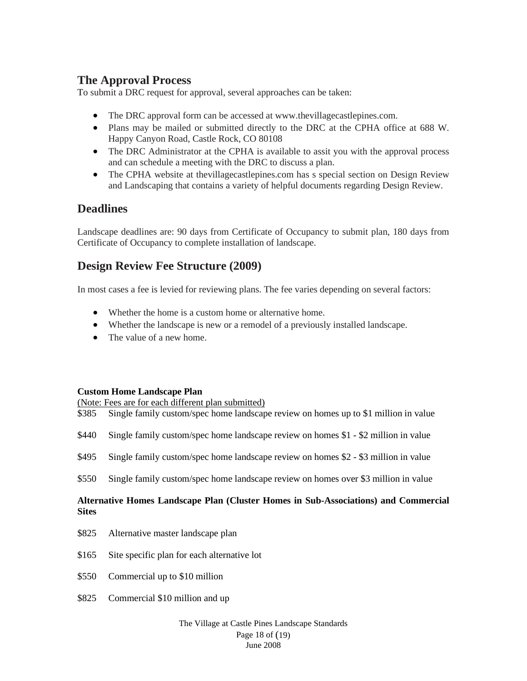## <span id="page-17-0"></span>**The Approval Process**

To submit a DRC request for approval, several approaches can be taken:

- The DRC approval form can be accessed at www.thevillagecastlepines.com.
- Plans may be mailed or submitted directly to the DRC at the CPHA office at 688 W. Happy Canyon Road, Castle Rock, CO 80108
- The DRC Administrator at the CPHA is available to assit you with the approval process and can schedule a meeting with the DRC to discuss a plan.
- The CPHA website at the village castlepines.com has s special section on Design Review and Landscaping that contains a variety of helpful documents regarding Design Review.

## <span id="page-17-1"></span>**Deadlines**

Landscape deadlines are: 90 days from Certificate of Occupancy to submit plan, 180 days from Certificate of Occupancy to complete installation of landscape.

## <span id="page-17-2"></span>**Design Review Fee Structure (2009)**

In most cases a fee is levied for reviewing plans. The fee varies depending on several factors:

- Whether the home is a custom home or alternative home.
- Whether the landscape is new or a remodel of a previously installed landscape.
- The value of a new home.

## <span id="page-17-3"></span>**Custom Home Landscape Plan**

(Note: Fees are for each different plan submitted)

- \$385 Single family custom/spec home landscape review on homes up to \$1 million in value
- \$440 Single family custom/spec home landscape review on homes \$1 \$2 million in value
- \$495 Single family custom/spec home landscape review on homes \$2 \$3 million in value
- \$550 Single family custom/spec home landscape review on homes over \$3 million in value

## <span id="page-17-4"></span>**Alternative Homes Landscape Plan (Cluster Homes in Sub-Associations) and Commercial Sites**

- \$825 Alternative master landscape plan
- \$165 Site specific plan for each alternative lot
- \$550 Commercial up to \$10 million
- \$825 Commercial \$10 million and up

#### The Village at Castle Pines Landscape Standards Page 18 of (19) June 2008